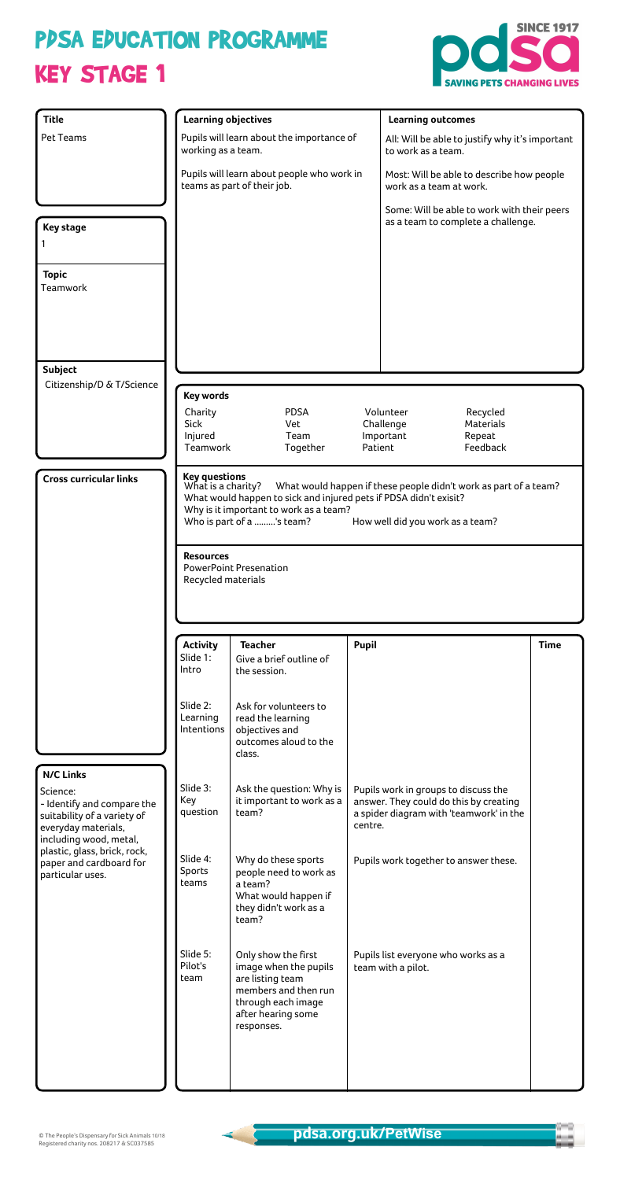## KEY STAGE 1 PPSA EPUCATION PROGRAMME





© The People's Dispensary for Sick Animals 10/18 Registered charity nos. 208217 & SC037585

| <b>Title</b>                                                                                                                                                                                                              | <b>Learning objectives</b>             |                                                                                                                    |         | <b>Learning outcomes</b>                                                                                                  |             |  |
|---------------------------------------------------------------------------------------------------------------------------------------------------------------------------------------------------------------------------|----------------------------------------|--------------------------------------------------------------------------------------------------------------------|---------|---------------------------------------------------------------------------------------------------------------------------|-------------|--|
| <b>Pet Teams</b>                                                                                                                                                                                                          |                                        |                                                                                                                    |         |                                                                                                                           |             |  |
|                                                                                                                                                                                                                           |                                        | Pupils will learn about the importance of<br>working as a team.                                                    |         | All: Will be able to justify why it's important<br>to work as a team.                                                     |             |  |
|                                                                                                                                                                                                                           |                                        | Pupils will learn about people who work in<br>teams as part of their job.                                          |         | Most: Will be able to describe how people<br>work as a team at work.                                                      |             |  |
|                                                                                                                                                                                                                           |                                        |                                                                                                                    |         | Some: Will be able to work with their peers                                                                               |             |  |
| <b>Key stage</b>                                                                                                                                                                                                          |                                        |                                                                                                                    |         | as a team to complete a challenge.                                                                                        |             |  |
| <b>Topic</b><br>Teamwork                                                                                                                                                                                                  |                                        |                                                                                                                    |         |                                                                                                                           |             |  |
| <b>Subject</b>                                                                                                                                                                                                            |                                        |                                                                                                                    |         |                                                                                                                           |             |  |
| Citizenship/D & T/Science                                                                                                                                                                                                 | <b>Key words</b>                       |                                                                                                                    |         |                                                                                                                           |             |  |
|                                                                                                                                                                                                                           | Charity<br>Sick<br>Injured<br>Teamwork | <b>PDSA</b><br>Vet<br>Team<br>Together                                                                             | Patient | Volunteer<br>Recycled<br><b>Materials</b><br>Challenge<br>Important<br>Repeat<br>Feedback                                 |             |  |
|                                                                                                                                                                                                                           | <b>Resources</b><br>Recycled materials | Why is it important to work as a team?<br>Who is part of a 's team?<br><b>PowerPoint Presenation</b>               |         | How well did you work as a team?                                                                                          |             |  |
|                                                                                                                                                                                                                           | <b>Activity</b><br>Slide 1:<br>Intro   | <b>Teacher</b><br>Give a brief outline of<br>the session.                                                          | Pupil   |                                                                                                                           | <b>Time</b> |  |
|                                                                                                                                                                                                                           | Slide 2:<br>Learning<br>Intentions     | Ask for volunteers to<br>read the learning<br>objectives and<br>outcomes aloud to the<br>class.                    |         |                                                                                                                           |             |  |
| <b>N/C Links</b><br>Science:<br>- Identify and compare the<br>suitability of a variety of<br>everyday materials,<br>including wood, metal,<br>plastic, glass, brick, rock,<br>paper and cardboard for<br>particular uses. | Slide 3:<br>Key<br>question            | Ask the question: Why is<br>it important to work as a<br>team?                                                     | centre. | Pupils work in groups to discuss the<br>answer. They could do this by creating<br>a spider diagram with 'teamwork' in the |             |  |
|                                                                                                                                                                                                                           | Slide 4:<br>Sports<br>teams            | Why do these sports<br>people need to work as<br>a team?<br>What would happen if<br>they didn't work as a<br>team? |         | Pupils work together to answer these.                                                                                     |             |  |